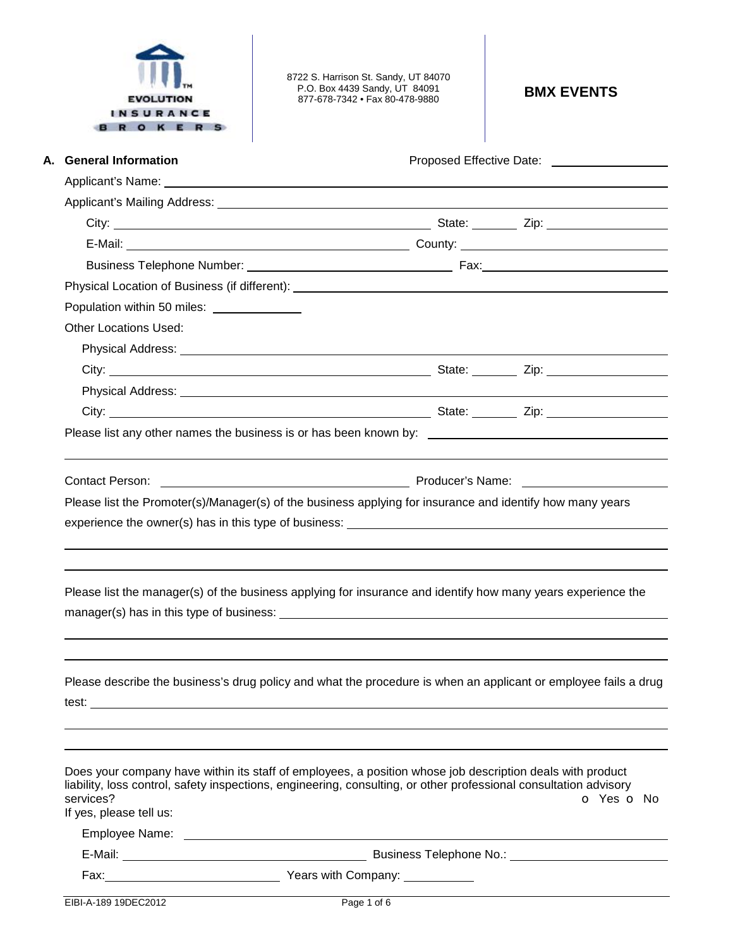| <b>EVOLUTION</b> |  |
|------------------|--|
| INSURANCE        |  |
|                  |  |

8722 S. Harrison St. Sandy, UT 84070 P.O. Box 4439 Sandy, UT 84091 877-678-7342 • Fax 80-478-9880 **BMX EVENTS** 

| A. General Information               |                                           |                                                                                                                                                                                                                                | Proposed Effective Date: <u>[1984]</u> |
|--------------------------------------|-------------------------------------------|--------------------------------------------------------------------------------------------------------------------------------------------------------------------------------------------------------------------------------|----------------------------------------|
|                                      |                                           |                                                                                                                                                                                                                                |                                        |
|                                      |                                           |                                                                                                                                                                                                                                |                                        |
|                                      |                                           |                                                                                                                                                                                                                                |                                        |
|                                      |                                           |                                                                                                                                                                                                                                |                                        |
|                                      |                                           |                                                                                                                                                                                                                                |                                        |
|                                      |                                           | Physical Location of Business (if different): Note that the state of the state of the state of the state of the state of the state of the state of the state of the state of the state of the state of the state of the state  |                                        |
|                                      | Population within 50 miles: _____________ |                                                                                                                                                                                                                                |                                        |
| <b>Other Locations Used:</b>         |                                           |                                                                                                                                                                                                                                |                                        |
|                                      |                                           |                                                                                                                                                                                                                                |                                        |
|                                      |                                           |                                                                                                                                                                                                                                |                                        |
|                                      |                                           |                                                                                                                                                                                                                                |                                        |
|                                      |                                           |                                                                                                                                                                                                                                |                                        |
|                                      |                                           | Please list any other names the business is or has been known by: __________________________________                                                                                                                           |                                        |
|                                      |                                           |                                                                                                                                                                                                                                |                                        |
|                                      |                                           |                                                                                                                                                                                                                                |                                        |
| <b>Contact Person:</b>               |                                           | Please list the Promoter(s)/Manager(s) of the business applying for insurance and identify how many years                                                                                                                      |                                        |
|                                      |                                           |                                                                                                                                                                                                                                |                                        |
|                                      |                                           |                                                                                                                                                                                                                                |                                        |
|                                      |                                           | Please list the manager(s) of the business applying for insurance and identify how many years experience the                                                                                                                   |                                        |
|                                      |                                           |                                                                                                                                                                                                                                |                                        |
|                                      |                                           |                                                                                                                                                                                                                                |                                        |
|                                      |                                           |                                                                                                                                                                                                                                |                                        |
|                                      |                                           |                                                                                                                                                                                                                                |                                        |
|                                      |                                           |                                                                                                                                                                                                                                |                                        |
|                                      |                                           | Please describe the business's drug policy and what the procedure is when an applicant or employee fails a drug                                                                                                                |                                        |
|                                      |                                           |                                                                                                                                                                                                                                |                                        |
|                                      |                                           |                                                                                                                                                                                                                                |                                        |
|                                      |                                           |                                                                                                                                                                                                                                |                                        |
|                                      |                                           | Does your company have within its staff of employees, a position whose job description deals with product<br>liability, loss control, safety inspections, engineering, consulting, or other professional consultation advisory |                                        |
|                                      |                                           |                                                                                                                                                                                                                                |                                        |
|                                      |                                           |                                                                                                                                                                                                                                |                                        |
| services?<br>If yes, please tell us: |                                           |                                                                                                                                                                                                                                | o Yes o No                             |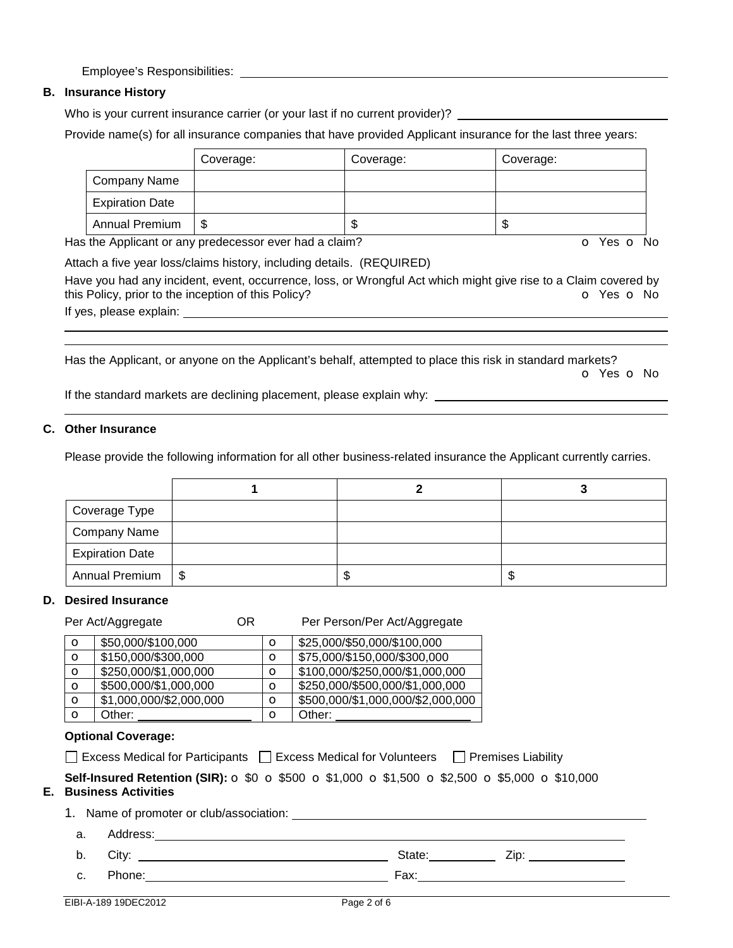Employee's Responsibilities:

# **B. Insurance History**

Who is your current insurance carrier (or your last if no current provider)?

Provide name(s) for all insurance companies that have provided Applicant insurance for the last three years:

|                        | Coverage: | Coverage: | Coverage: |
|------------------------|-----------|-----------|-----------|
| Company Name           |           |           |           |
| <b>Expiration Date</b> |           |           |           |
| <b>Annual Premium</b>  | \$        | Œ         | J         |

Has the Applicant or any predecessor ever had a claim? The Contract of Monocontroller of Yes **o** No

Attach a five year loss/claims history, including details. (REQUIRED) Have you had any incident, event, occurrence, loss, or Wrongful Act which might give rise to a Claim covered by this Policy, prior to the inception of this Policy? **o** Yes **o** No

If yes, please explain:

Has the Applicant, or anyone on the Applicant's behalf, attempted to place this risk in standard markets? o Yes o No

If the standard markets are declining placement, please explain why:

## **C. Other Insurance**

 

Please provide the following information for all other business-related insurance the Applicant currently carries.

| Coverage Type          |     |    |
|------------------------|-----|----|
| Company Name           |     |    |
| <b>Expiration Date</b> |     |    |
| Annual Premium   \$    | ٨IJ | ۰D |

## **D. Desired Insurance**

|    |                                                                                                                                                                               | OR.<br>Per Act/Aggregate                 |         | Per Person/Per Act/Aggregate                                                           |  |
|----|-------------------------------------------------------------------------------------------------------------------------------------------------------------------------------|------------------------------------------|---------|----------------------------------------------------------------------------------------|--|
|    | $\circ$                                                                                                                                                                       | \$50,000/\$100,000                       | $\circ$ | \$25,000/\$50,000/\$100,000                                                            |  |
|    | $\circ$                                                                                                                                                                       | \$150,000/\$300,000                      | $\circ$ | \$75,000/\$150,000/\$300,000                                                           |  |
|    | O                                                                                                                                                                             | \$250,000/\$1,000,000                    | $\circ$ | \$100,000/\$250,000/\$1,000,000                                                        |  |
|    | $\circ$                                                                                                                                                                       | \$500,000/\$1,000,000                    | $\circ$ | \$250,000/\$500,000/\$1,000,000                                                        |  |
|    | $\mathbf{o}$                                                                                                                                                                  | \$1,000,000/\$2,000,000                  | $\circ$ | \$500,000/\$1,000,000/\$2,000,000                                                      |  |
|    | $\circ$                                                                                                                                                                       | Other:                                   | $\circ$ | Other:                                                                                 |  |
|    |                                                                                                                                                                               | <b>Optional Coverage:</b>                |         | □ Excess Medical for Participants □ Excess Medical for Volunteers □ Premises Liability |  |
| Е. | <b>Self-Insured Retention (SIR):</b> $\circ$ \$0 $\circ$ \$500 $\circ$ \$1,000 $\circ$ \$1,500 $\circ$ \$2,500 $\circ$ \$5,000 $\circ$ \$10,000<br><b>Business Activities</b> |                                          |         |                                                                                        |  |
|    |                                                                                                                                                                               | 1. Name of promoter or club/association: |         |                                                                                        |  |
|    | a.                                                                                                                                                                            | Address:                                 |         |                                                                                        |  |
|    |                                                                                                                                                                               |                                          |         |                                                                                        |  |

b. City: State: Zip:

c. Phone: Fax: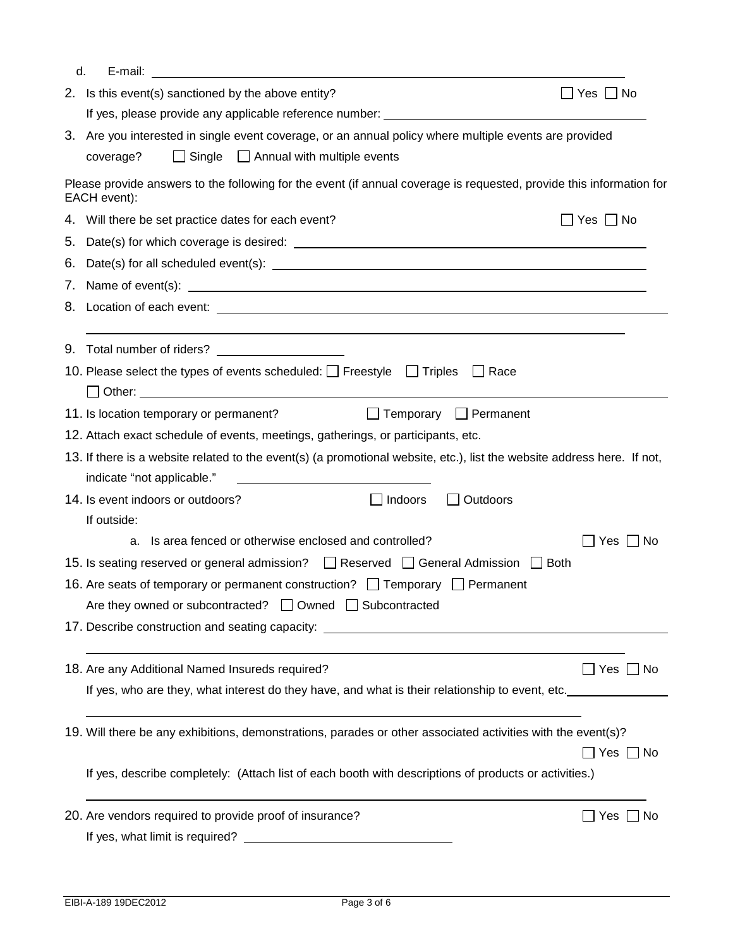| d.                                                                                                                                                                                                                                   |                      |
|--------------------------------------------------------------------------------------------------------------------------------------------------------------------------------------------------------------------------------------|----------------------|
| 2. Is this event(s) sanctioned by the above entity?                                                                                                                                                                                  | ∐ Yes ∐ No           |
| If yes, please provide any applicable reference number: <b>with the control of the control of the control of the control of the control of the control of the control of the control of the control of the control of the contro</b> |                      |
| 3. Are you interested in single event coverage, or an annual policy where multiple events are provided                                                                                                                               |                      |
| $\Box$ Single $\Box$ Annual with multiple events<br>coverage?                                                                                                                                                                        |                      |
| Please provide answers to the following for the event (if annual coverage is requested, provide this information for<br>EACH event):                                                                                                 |                      |
| 4. Will there be set practice dates for each event?                                                                                                                                                                                  | $\Box$ Yes $\Box$ No |
|                                                                                                                                                                                                                                      |                      |
| 6. Date(s) for all scheduled event(s): $\sqrt{\frac{2}{1-\frac{1}{2}} + \frac{1}{2-\frac{1}{2}}}$                                                                                                                                    |                      |
|                                                                                                                                                                                                                                      |                      |
|                                                                                                                                                                                                                                      |                      |
|                                                                                                                                                                                                                                      |                      |
| Total number of riders? Total number<br>9.                                                                                                                                                                                           |                      |
| 10. Please select the types of events scheduled: $\Box$ Freestyle $\Box$ Triples $\Box$ Race                                                                                                                                         |                      |
|                                                                                                                                                                                                                                      |                      |
| Temporary Permanent<br>11. Is location temporary or permanent?                                                                                                                                                                       |                      |
| 12. Attach exact schedule of events, meetings, gatherings, or participants, etc.                                                                                                                                                     |                      |
| 13. If there is a website related to the event(s) (a promotional website, etc.), list the website address here. If not,                                                                                                              |                      |
| indicate "not applicable."<br><u> 1980 - John Stein, mars and de Branch and de Branch and de Branch and de Branch and de Branch and de Branch an</u>                                                                                 |                      |
| 14. Is event indoors or outdoors?<br>$\Box$ Indoors<br>$\Box$ Outdoors<br>If outside:                                                                                                                                                |                      |
| Is area fenced or otherwise enclosed and controlled?<br>a.                                                                                                                                                                           | Yes ∐ No             |
| 15. Is seating reserved or general admission? $\Box$ Reserved $\Box$ General Admission $\Box$ Both                                                                                                                                   |                      |
| 16. Are seats of temporary or permanent construction? $\Box$ Temporary $\Box$ Permanent                                                                                                                                              |                      |
| Are they owned or subcontracted? □ Owned □ Subcontracted                                                                                                                                                                             |                      |
|                                                                                                                                                                                                                                      |                      |
|                                                                                                                                                                                                                                      |                      |
| 18. Are any Additional Named Insureds required?                                                                                                                                                                                      | $\Box$ Yes $\Box$ No |
| If yes, who are they, what interest do they have, and what is their relationship to event, etc.                                                                                                                                      |                      |
|                                                                                                                                                                                                                                      |                      |
| 19. Will there be any exhibitions, demonstrations, parades or other associated activities with the event(s)?                                                                                                                         |                      |
|                                                                                                                                                                                                                                      | $\Box$ Yes $\Box$ No |
| If yes, describe completely: (Attach list of each booth with descriptions of products or activities.)                                                                                                                                |                      |
| 20. Are vendors required to provide proof of insurance?                                                                                                                                                                              | $\Box$ Yes $\Box$ No |
|                                                                                                                                                                                                                                      |                      |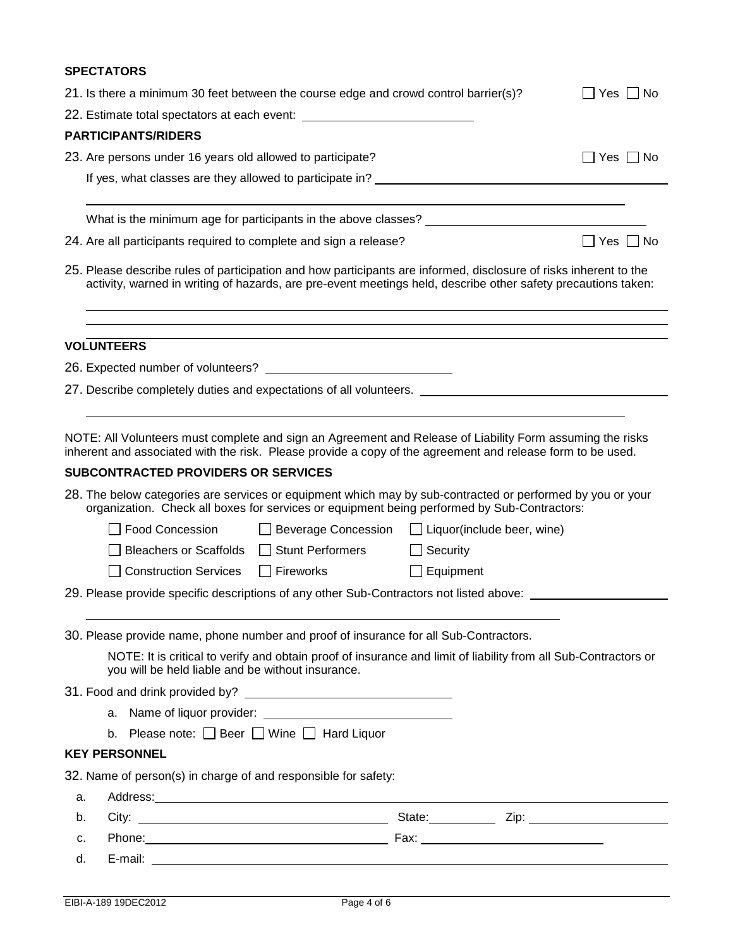# **SPECTATORS**

|    | 21. Is there a minimum 30 feet between the course edge and crowd control barrier(s)?                                                                                                                                               | Yes     No                                                                                                                                                                                                                     |                 |            |  |  |  |
|----|------------------------------------------------------------------------------------------------------------------------------------------------------------------------------------------------------------------------------------|--------------------------------------------------------------------------------------------------------------------------------------------------------------------------------------------------------------------------------|-----------------|------------|--|--|--|
|    | 22. Estimate total spectators at each event: ___________________________________                                                                                                                                                   |                                                                                                                                                                                                                                |                 |            |  |  |  |
|    | <b>PARTICIPANTS/RIDERS</b>                                                                                                                                                                                                         |                                                                                                                                                                                                                                |                 |            |  |  |  |
|    | 23. Are persons under 16 years old allowed to participate?                                                                                                                                                                         |                                                                                                                                                                                                                                |                 | Yes     No |  |  |  |
|    |                                                                                                                                                                                                                                    |                                                                                                                                                                                                                                |                 |            |  |  |  |
|    |                                                                                                                                                                                                                                    |                                                                                                                                                                                                                                |                 |            |  |  |  |
|    |                                                                                                                                                                                                                                    |                                                                                                                                                                                                                                |                 |            |  |  |  |
|    | 24. Are all participants required to complete and sign a release?                                                                                                                                                                  | Yes  No                                                                                                                                                                                                                        |                 |            |  |  |  |
|    | 25. Please describe rules of participation and how participants are informed, disclosure of risks inherent to the<br>activity, warned in writing of hazards, are pre-event meetings held, describe other safety precautions taken: |                                                                                                                                                                                                                                |                 |            |  |  |  |
|    | <b>VOLUNTEERS</b>                                                                                                                                                                                                                  |                                                                                                                                                                                                                                |                 |            |  |  |  |
|    |                                                                                                                                                                                                                                    |                                                                                                                                                                                                                                |                 |            |  |  |  |
|    |                                                                                                                                                                                                                                    |                                                                                                                                                                                                                                |                 |            |  |  |  |
|    |                                                                                                                                                                                                                                    |                                                                                                                                                                                                                                |                 |            |  |  |  |
|    | NOTE: All Volunteers must complete and sign an Agreement and Release of Liability Form assuming the risks<br>inherent and associated with the risk. Please provide a copy of the agreement and release form to be used.            |                                                                                                                                                                                                                                |                 |            |  |  |  |
|    | <b>SUBCONTRACTED PROVIDERS OR SERVICES</b>                                                                                                                                                                                         |                                                                                                                                                                                                                                |                 |            |  |  |  |
|    | 28. The below categories are services or equipment which may by sub-contracted or performed by you or your<br>organization. Check all boxes for services or equipment being performed by Sub-Contractors:                          |                                                                                                                                                                                                                                |                 |            |  |  |  |
|    | <b>Food Concession</b>                                                                                                                                                                                                             | $\Box$ Beverage Concession $\Box$ Liquor(include beer, wine)                                                                                                                                                                   |                 |            |  |  |  |
|    |                                                                                                                                                                                                                                    |                                                                                                                                                                                                                                |                 |            |  |  |  |
|    | Bleachers or Scaffolds   Stunt Performers                                                                                                                                                                                          |                                                                                                                                                                                                                                | $\Box$ Security |            |  |  |  |
|    | Construction Services Fireworks                                                                                                                                                                                                    |                                                                                                                                                                                                                                | Equipment       |            |  |  |  |
|    | 29. Please provide specific descriptions of any other Sub-Contractors not listed above: __________________                                                                                                                         |                                                                                                                                                                                                                                |                 |            |  |  |  |
|    |                                                                                                                                                                                                                                    |                                                                                                                                                                                                                                |                 |            |  |  |  |
|    | 30. Please provide name, phone number and proof of insurance for all Sub-Contractors.                                                                                                                                              |                                                                                                                                                                                                                                |                 |            |  |  |  |
|    | you will be held liable and be without insurance.                                                                                                                                                                                  | NOTE: It is critical to verify and obtain proof of insurance and limit of liability from all Sub-Contractors or                                                                                                                |                 |            |  |  |  |
|    |                                                                                                                                                                                                                                    |                                                                                                                                                                                                                                |                 |            |  |  |  |
|    |                                                                                                                                                                                                                                    |                                                                                                                                                                                                                                |                 |            |  |  |  |
|    | b. Please note: Beer Wine I Hard Liquor                                                                                                                                                                                            |                                                                                                                                                                                                                                |                 |            |  |  |  |
|    | <b>KEY PERSONNEL</b>                                                                                                                                                                                                               |                                                                                                                                                                                                                                |                 |            |  |  |  |
|    | 32. Name of person(s) in charge of and responsible for safety:                                                                                                                                                                     |                                                                                                                                                                                                                                |                 |            |  |  |  |
| a. |                                                                                                                                                                                                                                    | Address: Address: Address: Address: Address: Address: Address: Address: Address: Address: Address: Address: Address: Address: Address: Address: Address: Address: Address: Address: Address: Address: Address: Address: Addres |                 |            |  |  |  |
| b. |                                                                                                                                                                                                                                    |                                                                                                                                                                                                                                |                 |            |  |  |  |
| c. |                                                                                                                                                                                                                                    |                                                                                                                                                                                                                                |                 |            |  |  |  |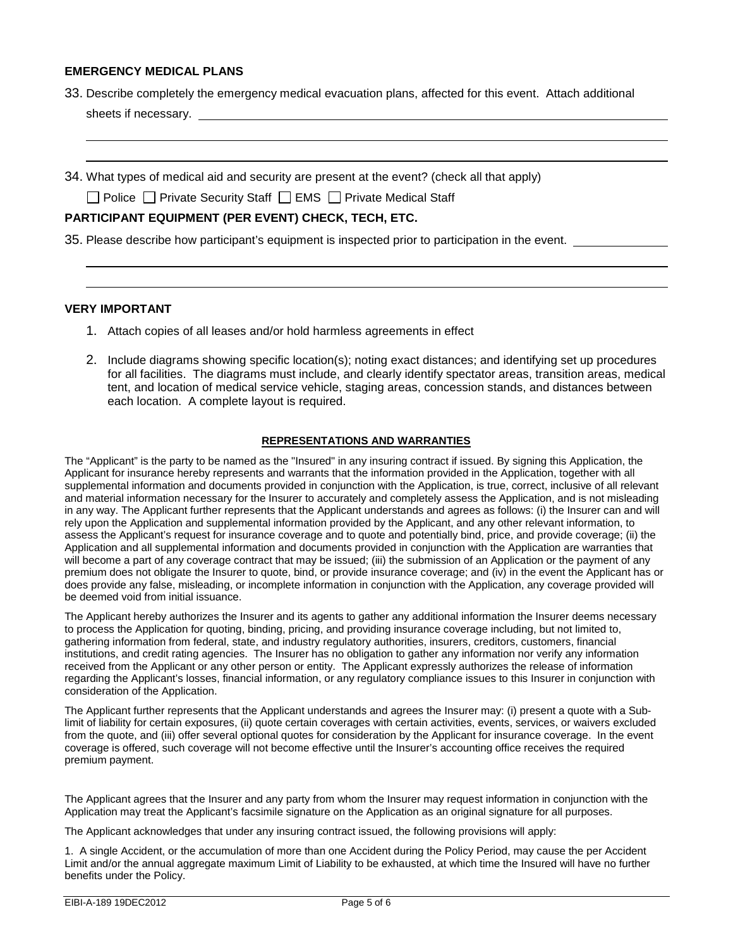## **EMERGENCY MEDICAL PLANS**

- 33. Describe completely the emergency medical evacuation plans, affected for this event. Attach additional sheets if necessary.
- 34. What types of medical aid and security are present at the event? (check all that apply)

 $\Box$  Police  $\Box$  Private Security Staff  $\Box$  EMS  $\Box$  Private Medical Staff

## **PARTICIPANT EQUIPMENT (PER EVENT) CHECK, TECH, ETC.**

35. Please describe how participant's equipment is inspected prior to participation in the event.

#### **VERY IMPORTANT**

 

 

- 1. Attach copies of all leases and/or hold harmless agreements in effect
- 2. Include diagrams showing specific location(s); noting exact distances; and identifying set up procedures for all facilities. The diagrams must include, and clearly identify spectator areas, transition areas, medical tent, and location of medical service vehicle, staging areas, concession stands, and distances between each location. A complete layout is required.

### **REPRESENTATIONS AND WARRANTIES**

The "Applicant" is the party to be named as the "Insured" in any insuring contract if issued. By signing this Application, the Applicant for insurance hereby represents and warrants that the information provided in the Application, together with all supplemental information and documents provided in conjunction with the Application, is true, correct, inclusive of all relevant and material information necessary for the Insurer to accurately and completely assess the Application, and is not misleading in any way. The Applicant further represents that the Applicant understands and agrees as follows: (i) the Insurer can and will rely upon the Application and supplemental information provided by the Applicant, and any other relevant information, to assess the Applicant's request for insurance coverage and to quote and potentially bind, price, and provide coverage; (ii) the Application and all supplemental information and documents provided in conjunction with the Application are warranties that will become a part of any coverage contract that may be issued; (iii) the submission of an Application or the payment of any premium does not obligate the Insurer to quote, bind, or provide insurance coverage; and (iv) in the event the Applicant has or does provide any false, misleading, or incomplete information in conjunction with the Application, any coverage provided will be deemed void from initial issuance.

The Applicant hereby authorizes the Insurer and its agents to gather any additional information the Insurer deems necessary to process the Application for quoting, binding, pricing, and providing insurance coverage including, but not limited to, gathering information from federal, state, and industry regulatory authorities, insurers, creditors, customers, financial institutions, and credit rating agencies. The Insurer has no obligation to gather any information nor verify any information received from the Applicant or any other person or entity. The Applicant expressly authorizes the release of information regarding the Applicant's losses, financial information, or any regulatory compliance issues to this Insurer in conjunction with consideration of the Application.

The Applicant further represents that the Applicant understands and agrees the Insurer may: (i) present a quote with a Sublimit of liability for certain exposures, (ii) quote certain coverages with certain activities, events, services, or waivers excluded from the quote, and (iii) offer several optional quotes for consideration by the Applicant for insurance coverage. In the event coverage is offered, such coverage will not become effective until the Insurer's accounting office receives the required premium payment.

The Applicant agrees that the Insurer and any party from whom the Insurer may request information in conjunction with the Application may treat the Applicant's facsimile signature on the Application as an original signature for all purposes.

The Applicant acknowledges that under any insuring contract issued, the following provisions will apply:

1. A single Accident, or the accumulation of more than one Accident during the Policy Period, may cause the per Accident Limit and/or the annual aggregate maximum Limit of Liability to be exhausted, at which time the Insured will have no further benefits under the Policy.